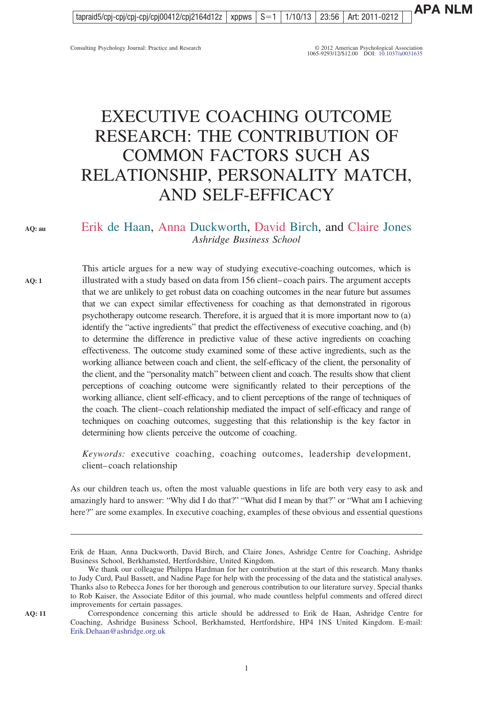Consulting Psychology Journal: Practice and Research © 2012 American Psychological Association<br>2012, 10.000 1001: [10.1037/a0031635](http://dx.doi.org/10.1037/a0031635)<br>2012, No. 4, 1065-9293/12/\$12.00 DOI: 10.1037/a0031635

# EXECUTIVE COACHING OUTCOME RESEARCH: THE CONTRIBUTION OF COMMON FACTORS SUCH AS RELATIONSHIP, PERSONALITY MATCH, AND SELF-EFFICACY

**AQ: au**

**AQ: 1**

Erik de Haan, Anna Duckworth, David Birch, and Claire Jones *Ashridge Business School*

This article argues for a new way of studying executive-coaching outcomes, which is illustrated with a study based on data from 156 client–coach pairs. The argument accepts that we are unlikely to get robust data on coaching outcomes in the near future but assumes that we can expect similar effectiveness for coaching as that demonstrated in rigorous psychotherapy outcome research. Therefore, it is argued that it is more important now to (a) identify the "active ingredients" that predict the effectiveness of executive coaching, and (b) to determine the difference in predictive value of these active ingredients on coaching effectiveness. The outcome study examined some of these active ingredients, such as the working alliance between coach and client, the self-efficacy of the client, the personality of the client, and the "personality match" between client and coach. The results show that client perceptions of coaching outcome were significantly related to their perceptions of the working alliance, client self-efficacy, and to client perceptions of the range of techniques of the coach. The client–coach relationship mediated the impact of self-efficacy and range of techniques on coaching outcomes, suggesting that this relationship is the key factor in determining how clients perceive the outcome of coaching.

*Keywords:* executive coaching, coaching outcomes, leadership development, client–coach relationship

As our children teach us, often the most valuable questions in life are both very easy to ask and amazingly hard to answer: "Why did I do that?" "What did I mean by that?" or "What am I achieving here?" are some examples. In executive coaching, examples of these obvious and essential questions

**AQ: 11**

Erik de Haan, Anna Duckworth, David Birch, and Claire Jones, Ashridge Centre for Coaching, Ashridge Business School, Berkhamsted, Hertfordshire, United Kingdom.

We thank our colleague Philippa Hardman for her contribution at the start of this research. Many thanks to Judy Curd, Paul Bassett, and Nadine Page for help with the processing of the data and the statistical analyses. Thanks also to Rebecca Jones for her thorough and generous contribution to our literature survey. Special thanks to Rob Kaiser, the Associate Editor of this journal, who made countless helpful comments and offered direct improvements for certain passages.

Correspondence concerning this article should be addressed to Erik de Haan, Ashridge Centre for Coaching, Ashridge Business School, Berkhamsted, Hertfordshire, HP4 1NS United Kingdom. E-mail: [Erik.Dehaan@ashridge.org.uk](mailto:Erik.Dehaan@ashridge.org.uk)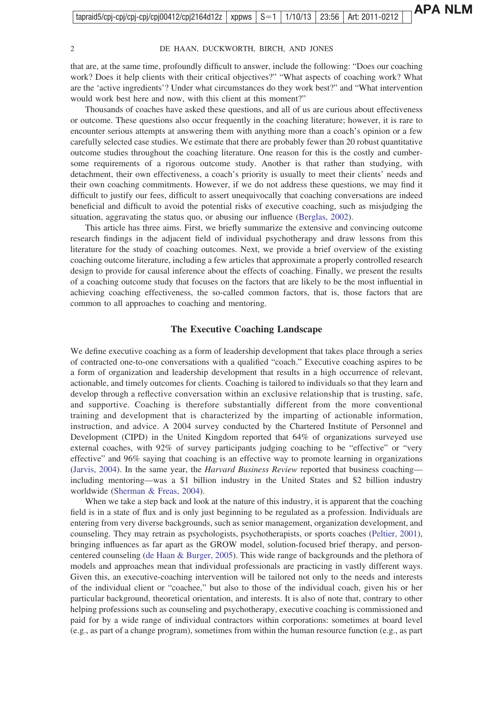that are, at the same time, profoundly difficult to answer, include the following: "Does our coaching work? Does it help clients with their critical objectives?" "What aspects of coaching work? What are the 'active ingredients'? Under what circumstances do they work best?" and "What intervention would work best here and now, with this client at this moment?"

Thousands of coaches have asked these questions, and all of us are curious about effectiveness or outcome. These questions also occur frequently in the coaching literature; however, it is rare to encounter serious attempts at answering them with anything more than a coach's opinion or a few carefully selected case studies. We estimate that there are probably fewer than 20 robust quantitative outcome studies throughout the coaching literature. One reason for this is the costly and cumbersome requirements of a rigorous outcome study. Another is that rather than studying, with detachment, their own effectiveness, a coach's priority is usually to meet their clients' needs and their own coaching commitments. However, if we do not address these questions, we may find it difficult to justify our fees, difficult to assert unequivocally that coaching conversations are indeed beneficial and difficult to avoid the potential risks of executive coaching, such as misjudging the situation, aggravating the status quo, or abusing our influence [\(Berglas, 2002\)](#page-16-0).

This article has three aims. First, we briefly summarize the extensive and convincing outcome research findings in the adjacent field of individual psychotherapy and draw lessons from this literature for the study of coaching outcomes. Next, we provide a brief overview of the existing coaching outcome literature, including a few articles that approximate a properly controlled research design to provide for causal inference about the effects of coaching. Finally, we present the results of a coaching outcome study that focuses on the factors that are likely to be the most influential in achieving coaching effectiveness, the so-called common factors, that is, those factors that are common to all approaches to coaching and mentoring.

## **The Executive Coaching Landscape**

We define executive coaching as a form of leadership development that takes place through a series of contracted one-to-one conversations with a qualified "coach." Executive coaching aspires to be a form of organization and leadership development that results in a high occurrence of relevant, actionable, and timely outcomes for clients. Coaching is tailored to individuals so that they learn and develop through a reflective conversation within an exclusive relationship that is trusting, safe, and supportive. Coaching is therefore substantially different from the more conventional training and development that is characterized by the imparting of actionable information, instruction, and advice. A 2004 survey conducted by the Chartered Institute of Personnel and Development (CIPD) in the United Kingdom reported that 64% of organizations surveyed use external coaches, with 92% of survey participants judging coaching to be "effective" or "very effective" and 96% saying that coaching is an effective way to promote learning in organizations [\(Jarvis, 2004\)](#page-16-1). In the same year, the *Harvard Business Review* reported that business coaching including mentoring—was a \$1 billion industry in the United States and \$2 billion industry worldwide [\(Sherman & Freas, 2004\)](#page-17-0).

When we take a step back and look at the nature of this industry, it is apparent that the coaching field is in a state of flux and is only just beginning to be regulated as a profession. Individuals are entering from very diverse backgrounds, such as senior management, organization development, and counseling. They may retrain as psychologists, psychotherapists, or sports coaches [\(Peltier, 2001\)](#page-16-2), bringing influences as far apart as the GROW model, solution-focused brief therapy, and personcentered counseling [\(de Haan & Burger, 2005\)](#page-16-3). This wide range of backgrounds and the plethora of models and approaches mean that individual professionals are practicing in vastly different ways. Given this, an executive-coaching intervention will be tailored not only to the needs and interests of the individual client or "coachee," but also to those of the individual coach, given his or her particular background, theoretical orientation, and interests. It is also of note that, contrary to other helping professions such as counseling and psychotherapy, executive coaching is commissioned and paid for by a wide range of individual contractors within corporations: sometimes at board level (e.g., as part of a change program), sometimes from within the human resource function (e.g., as part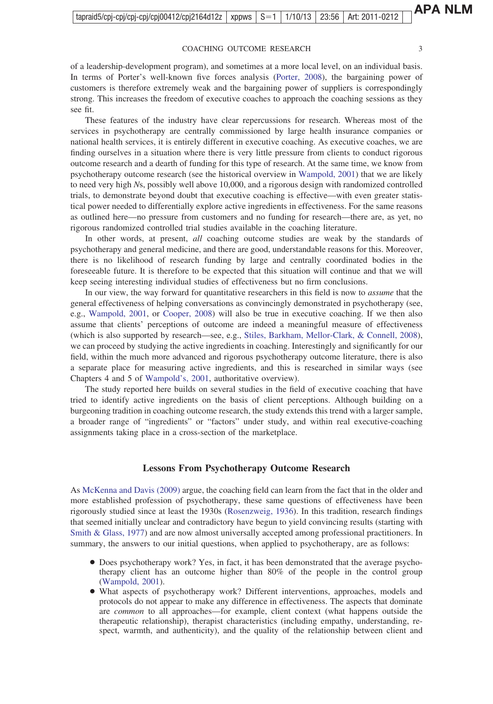of a leadership-development program), and sometimes at a more local level, on an individual basis. In terms of Porter's well-known five forces analysis [\(Porter, 2008\)](#page-17-1), the bargaining power of customers is therefore extremely weak and the bargaining power of suppliers is correspondingly strong. This increases the freedom of executive coaches to approach the coaching sessions as they see fit.

These features of the industry have clear repercussions for research. Whereas most of the services in psychotherapy are centrally commissioned by large health insurance companies or national health services, it is entirely different in executive coaching. As executive coaches, we are finding ourselves in a situation where there is very little pressure from clients to conduct rigorous outcome research and a dearth of funding for this type of research. At the same time, we know from psychotherapy outcome research (see the historical overview in [Wampold, 2001\)](#page-17-2) that we are likely to need very high *N*s, possibly well above 10,000, and a rigorous design with randomized controlled trials, to demonstrate beyond doubt that executive coaching is effective—with even greater statistical power needed to differentially explore active ingredients in effectiveness. For the same reasons as outlined here—no pressure from customers and no funding for research—there are, as yet, no rigorous randomized controlled trial studies available in the coaching literature.

In other words, at present, *all* coaching outcome studies are weak by the standards of psychotherapy and general medicine, and there are good, understandable reasons for this. Moreover, there is no likelihood of research funding by large and centrally coordinated bodies in the foreseeable future. It is therefore to be expected that this situation will continue and that we will keep seeing interesting individual studies of effectiveness but no firm conclusions.

In our view, the way forward for quantitative researchers in this field is now to *assume* that the general effectiveness of helping conversations as convincingly demonstrated in psychotherapy (see, e.g., [Wampold, 2001,](#page-17-2) or [Cooper, 2008\)](#page-16-4) will also be true in executive coaching. If we then also assume that clients' perceptions of outcome are indeed a meaningful measure of effectiveness (which is also supported by research—see, e.g., [Stiles, Barkham, Mellor-Clark, & Connell, 2008\)](#page-17-3), we can proceed by studying the active ingredients in coaching. Interestingly and significantly for our field, within the much more advanced and rigorous psychotherapy outcome literature, there is also a separate place for measuring active ingredients, and this is researched in similar ways (see Chapters 4 and 5 of [Wampold's, 2001,](#page-17-2) authoritative overview).

The study reported here builds on several studies in the field of executive coaching that have tried to identify active ingredients on the basis of client perceptions. Although building on a burgeoning tradition in coaching outcome research, the study extends this trend with a larger sample, a broader range of "ingredients" or "factors" under study, and within real executive-coaching assignments taking place in a cross-section of the marketplace.

#### **Lessons From Psychotherapy Outcome Research**

As [McKenna and Davis \(2009\)](#page-16-5) argue, the coaching field can learn from the fact that in the older and more established profession of psychotherapy, these same questions of effectiveness have been rigorously studied since at least the 1930s [\(Rosenzweig, 1936\)](#page-17-4). In this tradition, research findings that seemed initially unclear and contradictory have begun to yield convincing results (starting with [Smith & Glass, 1977\)](#page-17-5) and are now almost universally accepted among professional practitioners. In summary, the answers to our initial questions, when applied to psychotherapy, are as follows:

- Does psychotherapy work? Yes, in fact, it has been demonstrated that the average psychotherapy client has an outcome higher than 80% of the people in the control group [\(Wampold, 2001\)](#page-17-2).
- What aspects of psychotherapy work? Different interventions, approaches, models and protocols do not appear to make any difference in effectiveness. The aspects that dominate are *common* to all approaches—for example, client context (what happens outside the therapeutic relationship), therapist characteristics (including empathy, understanding, respect, warmth, and authenticity), and the quality of the relationship between client and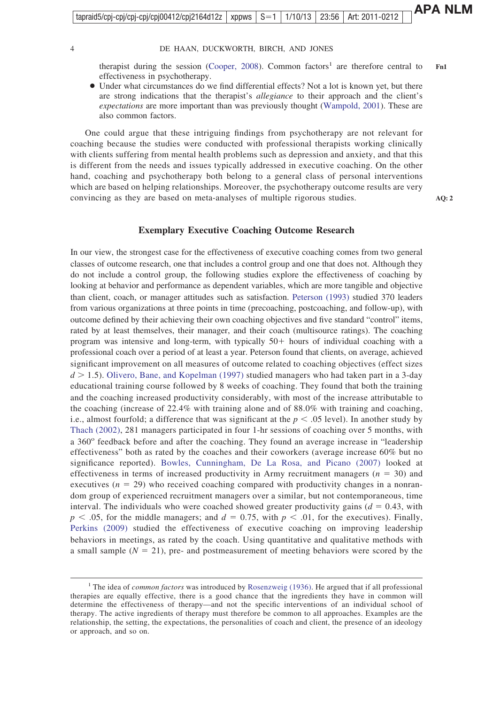therapist during the session [\(Cooper, 2008\)](#page-16-4). Common factors<sup>1</sup> are therefore central to effectiveness in psychotherapy. **Fn1**

● Under what circumstances do we find differential effects? Not a lot is known yet, but there are strong indications that the therapist's *allegiance* to their approach and the client's *expectations* are more important than was previously thought [\(Wampold, 2001\)](#page-17-2). These are also common factors.

One could argue that these intriguing findings from psychotherapy are not relevant for coaching because the studies were conducted with professional therapists working clinically with clients suffering from mental health problems such as depression and anxiety, and that this is different from the needs and issues typically addressed in executive coaching. On the other hand, coaching and psychotherapy both belong to a general class of personal interventions which are based on helping relationships. Moreover, the psychotherapy outcome results are very convincing as they are based on meta-analyses of multiple rigorous studies.

 $AD: 2$ 

## **Exemplary Executive Coaching Outcome Research**

In our view, the strongest case for the effectiveness of executive coaching comes from two general classes of outcome research, one that includes a control group and one that does not. Although they do not include a control group, the following studies explore the effectiveness of coaching by looking at behavior and performance as dependent variables, which are more tangible and objective than client, coach, or manager attitudes such as satisfaction. [Peterson \(1993\)](#page-17-6) studied 370 leaders from various organizations at three points in time (precoaching, postcoaching, and follow-up), with outcome defined by their achieving their own coaching objectives and five standard "control" items, rated by at least themselves, their manager, and their coach (multisource ratings). The coaching program was intensive and long-term, with typically 50+ hours of individual coaching with a professional coach over a period of at least a year. Peterson found that clients, on average, achieved significant improvement on all measures of outcome related to coaching objectives (effect sizes  $d > 1.5$ ). [Olivero, Bane, and Kopelman \(1997\)](#page-16-6) studied managers who had taken part in a 3-day educational training course followed by 8 weeks of coaching. They found that both the training and the coaching increased productivity considerably, with most of the increase attributable to the coaching (increase of 22.4% with training alone and of 88.0% with training and coaching, i.e., almost fourfold; a difference that was significant at the  $p < .05$  level). In another study by [Thach \(2002\),](#page-17-7) 281 managers participated in four 1-hr sessions of coaching over 5 months, with a 360° feedback before and after the coaching. They found an average increase in "leadership" effectiveness" both as rated by the coaches and their coworkers (average increase 60% but no significance reported). [Bowles, Cunningham, De La Rosa, and Picano \(2007\)](#page-16-7) looked at effectiveness in terms of increased productivity in Army recruitment managers  $(n = 30)$  and executives  $(n = 29)$  who received coaching compared with productivity changes in a nonrandom group of experienced recruitment managers over a similar, but not contemporaneous, time interval. The individuals who were coached showed greater productivity gains  $(d = 0.43$ , with  $p < .05$ , for the middle managers; and  $d = 0.75$ , with  $p < .01$ , for the executives). Finally, [Perkins \(2009\)](#page-17-8) studied the effectiveness of executive coaching on improving leadership behaviors in meetings, as rated by the coach. Using quantitative and qualitative methods with a small sample  $(N = 21)$ , pre- and postmeasurement of meeting behaviors were scored by the

<sup>1</sup> The idea of *common factors* was introduced by [Rosenzweig \(1936\).](#page-17-4) He argued that if all professional therapies are equally effective, there is a good chance that the ingredients they have in common will determine the effectiveness of therapy—and not the specific interventions of an individual school of therapy. The active ingredients of therapy must therefore be common to all approaches. Examples are the relationship, the setting, the expectations, the personalities of coach and client, the presence of an ideology or approach, and so on.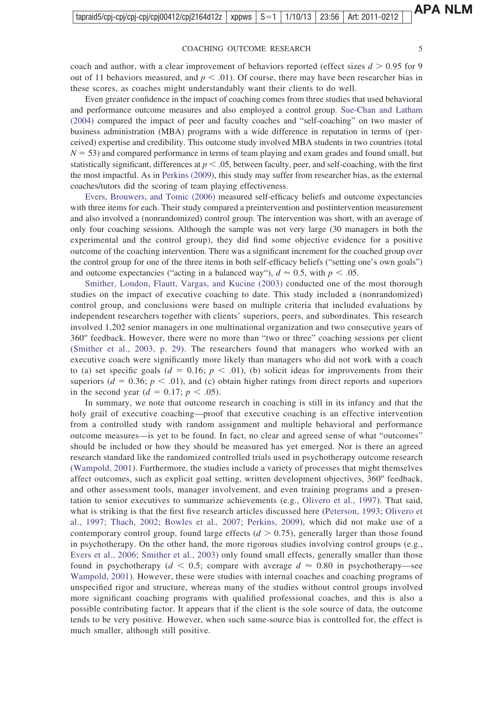coach and author, with a clear improvement of behaviors reported (effect sizes  $d > 0.95$  for 9 out of 11 behaviors measured, and  $p < .01$ ). Of course, there may have been researcher bias in these scores, as coaches might understandably want their clients to do well.

Even greater confidence in the impact of coaching comes from three studies that used behavioral and performance outcome measures and also employed a control group. [Sue-Chan and Latham](#page-17-9) [\(2004\)](#page-17-9) compared the impact of peer and faculty coaches and "self-coaching" on two master of business administration (MBA) programs with a wide difference in reputation in terms of (perceived) expertise and credibility. This outcome study involved MBA students in two countries (total  $N = 53$ ) and compared performance in terms of team playing and exam grades and found small, but statistically significant, differences at  $p < .05$ , between faculty, peer, and self-coaching, with the first the most impactful. As in [Perkins \(2009\),](#page-17-8) this study may suffer from researcher bias, as the external coaches/tutors did the scoring of team playing effectiveness.

[Evers, Brouwers, and Tomic \(2006\)](#page-16-8) measured self-efficacy beliefs and outcome expectancies with three items for each. Their study compared a preintervention and postintervention measurement and also involved a (nonrandomized) control group. The intervention was short, with an average of only four coaching sessions. Although the sample was not very large (30 managers in both the experimental and the control group), they did find some objective evidence for a positive outcome of the coaching intervention. There was a significant increment for the coached group over the control group for one of the three items in both self-efficacy beliefs ("setting one's own goals") and outcome expectancies ("acting in a balanced way"),  $d \approx 0.5$ , with  $p < .05$ .

[Smither, London, Flautt, Vargas, and Kucine \(2003\)](#page-17-10) conducted one of the most thorough studies on the impact of executive coaching to date. This study included a (nonrandomized) control group, and conclusions were based on multiple criteria that included evaluations by independent researchers together with clients' superiors, peers, and subordinates. This research involved 1,202 senior managers in one multinational organization and two consecutive years of 360° feedback. However, there were no more than "two or three" coaching sessions per client [\(Smither et al., 2003, p. 29\)](#page-17-10). The researchers found that managers who worked with an executive coach were significantly more likely than managers who did not work with a coach to (a) set specific goals ( $d = 0.16$ ;  $p < .01$ ), (b) solicit ideas for improvements from their superiors ( $d = 0.36$ ;  $p < .01$ ), and (c) obtain higher ratings from direct reports and superiors in the second year ( $d = 0.17$ ;  $p < .05$ ).

In summary, we note that outcome research in coaching is still in its infancy and that the holy grail of executive coaching—proof that executive coaching is an effective intervention from a controlled study with random assignment and multiple behavioral and performance outcome measures—is yet to be found. In fact, no clear and agreed sense of what "outcomes" should be included or how they should be measured has yet emerged. Nor is there an agreed research standard like the randomized controlled trials used in psychotherapy outcome research [\(Wampold, 2001\)](#page-17-2). Furthermore, the studies include a variety of processes that might themselves affect outcomes, such as explicit goal setting, written development objectives, 360° feedback, and other assessment tools, manager involvement, and even training programs and a presentation to senior executives to summarize achievements (e.g., [Olivero et al., 1997\)](#page-16-6). That said, what is striking is that the first five research articles discussed here [\(Peterson, 1993;](#page-17-6) [Olivero et](#page-16-6) [al., 1997;](#page-16-6) [Thach, 2002;](#page-17-7) [Bowles et al.](#page-16-7)*,* 2007; [Perkins, 2009\)](#page-17-8), which did not make use of a contemporary control group, found large effects  $(d > 0.75)$ , generally larger than those found in psychotherapy. On the other hand, the more rigorous studies involving control groups (e.g., [Evers et al., 2006;](#page-16-8) [Smither et al., 2003\)](#page-17-10) only found small effects, generally smaller than those found in psychotherapy ( $d \le 0.5$ ; compare with average  $d \approx 0.80$  in psychotherapy—see [Wampold, 2001\)](#page-17-2). However, these were studies with internal coaches and coaching programs of unspecified rigor and structure, whereas many of the studies without control groups involved more significant coaching programs with qualified professional coaches, and this is also a possible contributing factor. It appears that if the client is the sole source of data, the outcome tends to be very positive. However, when such same-source bias is controlled for, the effect is much smaller, although still positive.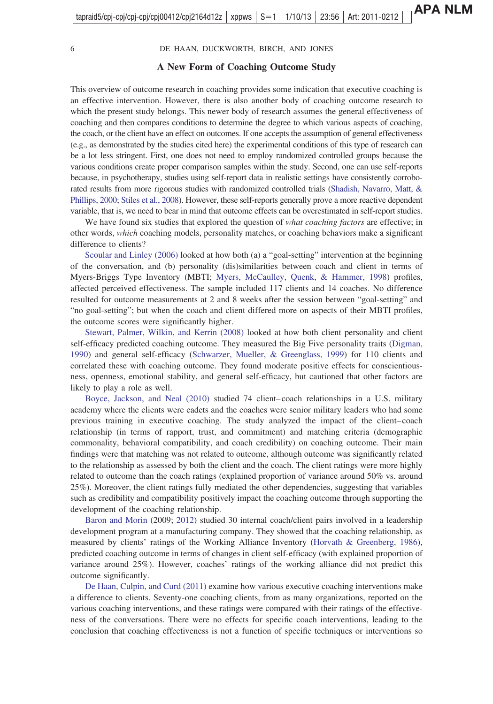# **A New Form of Coaching Outcome Study**

This overview of outcome research in coaching provides some indication that executive coaching is an effective intervention. However, there is also another body of coaching outcome research to which the present study belongs. This newer body of research assumes the general effectiveness of coaching and then compares conditions to determine the degree to which various aspects of coaching, the coach, or the client have an effect on outcomes. If one accepts the assumption of general effectiveness (e.g., as demonstrated by the studies cited here) the experimental conditions of this type of research can be a lot less stringent. First, one does not need to employ randomized controlled groups because the various conditions create proper comparison samples within the study. Second, one can use self-reports because, in psychotherapy, studies using self-report data in realistic settings have consistently corroborated results from more rigorous studies with randomized controlled trials [\(Shadish, Navarro, Matt, &](#page-17-11) [Phillips, 2000;](#page-17-11) [Stiles et al., 2008\)](#page-17-3). However, these self-reports generally prove a more reactive dependent variable, that is, we need to bear in mind that outcome effects can be overestimated in self-report studies.

We have found six studies that explored the question of *what coaching factors* are effective; in other words, *which* coaching models, personality matches, or coaching behaviors make a significant difference to clients?

[Scoular and Linley \(2006\)](#page-17-12) looked at how both (a) a "goal-setting" intervention at the beginning of the conversation, and (b) personality (dis)similarities between coach and client in terms of Myers-Briggs Type Inventory (MBTI; [Myers, McCaulley, Quenk, & Hammer, 1998\)](#page-16-9) profiles, affected perceived effectiveness. The sample included 117 clients and 14 coaches. No difference resulted for outcome measurements at 2 and 8 weeks after the session between "goal-setting" and "no goal-setting"; but when the coach and client differed more on aspects of their MBTI profiles, the outcome scores were significantly higher.

[Stewart, Palmer, Wilkin, and Kerrin \(2008\)](#page-17-13) looked at how both client personality and client self-efficacy predicted coaching outcome. They measured the Big Five personality traits [\(Digman,](#page-16-10) [1990\)](#page-16-10) and general self-efficacy [\(Schwarzer, Mueller, & Greenglass, 1999\)](#page-17-14) for 110 clients and correlated these with coaching outcome. They found moderate positive effects for conscientiousness, openness, emotional stability, and general self-efficacy, but cautioned that other factors are likely to play a role as well.

[Boyce, Jackson, and Neal \(2010\)](#page-16-11) studied 74 client–coach relationships in a U.S. military academy where the clients were cadets and the coaches were senior military leaders who had some previous training in executive coaching. The study analyzed the impact of the client–coach relationship (in terms of rapport, trust, and commitment) and matching criteria (demographic commonality, behavioral compatibility, and coach credibility) on coaching outcome. Their main findings were that matching was not related to outcome, although outcome was significantly related to the relationship as assessed by both the client and the coach. The client ratings were more highly related to outcome than the coach ratings (explained proportion of variance around 50% vs. around 25%). Moreover, the client ratings fully mediated the other dependencies, suggesting that variables such as credibility and compatibility positively impact the coaching outcome through supporting the development of the coaching relationship.

[Baron and Morin](#page-15-0) (2009; [2012\)](#page-15-1) studied 30 internal coach/client pairs involved in a leadership development program at a manufacturing company. They showed that the coaching relationship, as measured by clients' ratings of the Working Alliance Inventory [\(Horvath & Greenberg, 1986\)](#page-16-12), predicted coaching outcome in terms of changes in client self-efficacy (with explained proportion of variance around 25%). However, coaches' ratings of the working alliance did not predict this outcome significantly.

[De Haan, Culpin, and Curd \(2011\)](#page-16-13) examine how various executive coaching interventions make a difference to clients. Seventy-one coaching clients, from as many organizations, reported on the various coaching interventions, and these ratings were compared with their ratings of the effectiveness of the conversations. There were no effects for specific coach interventions, leading to the conclusion that coaching effectiveness is not a function of specific techniques or interventions so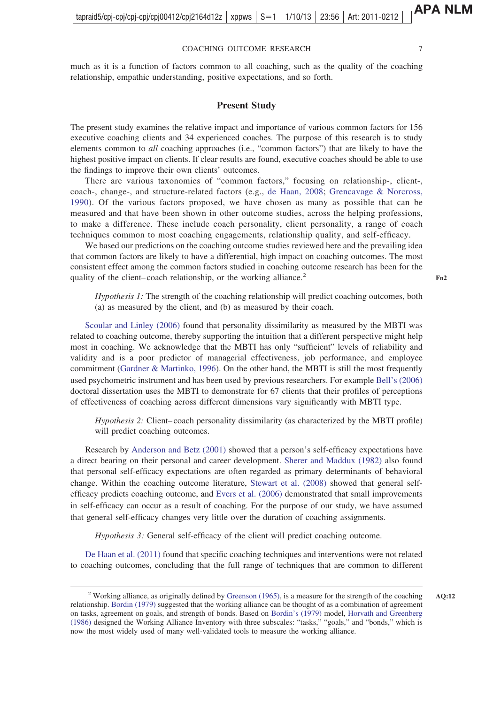much as it is a function of factors common to all coaching, such as the quality of the coaching relationship, empathic understanding, positive expectations, and so forth.

## **Present Study**

The present study examines the relative impact and importance of various common factors for 156 executive coaching clients and 34 experienced coaches. The purpose of this research is to study elements common to *all* coaching approaches (i.e., "common factors") that are likely to have the highest positive impact on clients. If clear results are found, executive coaches should be able to use the findings to improve their own clients' outcomes.

There are various taxonomies of "common factors," focusing on relationship-, client-, coach-, change-, and structure-related factors (e.g., [de Haan, 2008;](#page-16-14) [Grencavage & Norcross,](#page-16-15) [1990\)](#page-16-15). Of the various factors proposed, we have chosen as many as possible that can be measured and that have been shown in other outcome studies, across the helping professions, to make a difference. These include coach personality, client personality, a range of coach techniques common to most coaching engagements, relationship quality, and self-efficacy.

We based our predictions on the coaching outcome studies reviewed here and the prevailing idea that common factors are likely to have a differential, high impact on coaching outcomes. The most consistent effect among the common factors studied in coaching outcome research has been for the quality of the client–coach relationship, or the working alliance.<sup>2</sup>

**Fn2**

*Hypothesis 1:* The strength of the coaching relationship will predict coaching outcomes, both (a) as measured by the client, and (b) as measured by their coach.

[Scoular and Linley \(2006\)](#page-17-12) found that personality dissimilarity as measured by the MBTI was related to coaching outcome, thereby supporting the intuition that a different perspective might help most in coaching. We acknowledge that the MBTI has only "sufficient" levels of reliability and validity and is a poor predictor of managerial effectiveness, job performance, and employee commitment [\(Gardner & Martinko, 1996\)](#page-16-16). On the other hand, the MBTI is still the most frequently used psychometric instrument and has been used by previous researchers. For example [Bell's \(2006\)](#page-15-2) doctoral dissertation uses the MBTI to demonstrate for 67 clients that their profiles of perceptions of effectiveness of coaching across different dimensions vary significantly with MBTI type.

*Hypothesis 2:* Client–coach personality dissimilarity (as characterized by the MBTI profile) will predict coaching outcomes.

Research by [Anderson and Betz \(2001\)](#page-15-3) showed that a person's self-efficacy expectations have a direct bearing on their personal and career development. [Sherer and Maddux \(1982\)](#page-17-15) also found that personal self-efficacy expectations are often regarded as primary determinants of behavioral change. Within the coaching outcome literature, [Stewart et al. \(2008\)](#page-17-13) showed that general selfefficacy predicts coaching outcome, and [Evers et al. \(2006\)](#page-16-8) demonstrated that small improvements in self-efficacy can occur as a result of coaching. For the purpose of our study, we have assumed that general self-efficacy changes very little over the duration of coaching assignments.

*Hypothesis 3:* General self-efficacy of the client will predict coaching outcome.

[De Haan et al. \(2011\)](#page-16-13) found that specific coaching techniques and interventions were not related to coaching outcomes, concluding that the full range of techniques that are common to different

<sup>&</sup>lt;sup>2</sup> Working alliance, as originally defined by [Greenson \(1965\),](#page-16-17) is a measure for the strength of the coaching relationship. [Bordin \(1979\)](#page-16-18) suggested that the working alliance can be thought of as a combination of agreement on tasks, agreement on goals, and strength of bonds. Based on [Bordin's \(1979\)](#page-16-18) model, [Horvath and Greenberg](#page-16-12) [\(1986\)](#page-16-12) designed the Working Alliance Inventory with three subscales: "tasks," "goals," and "bonds," which is now the most widely used of many well-validated tools to measure the working alliance.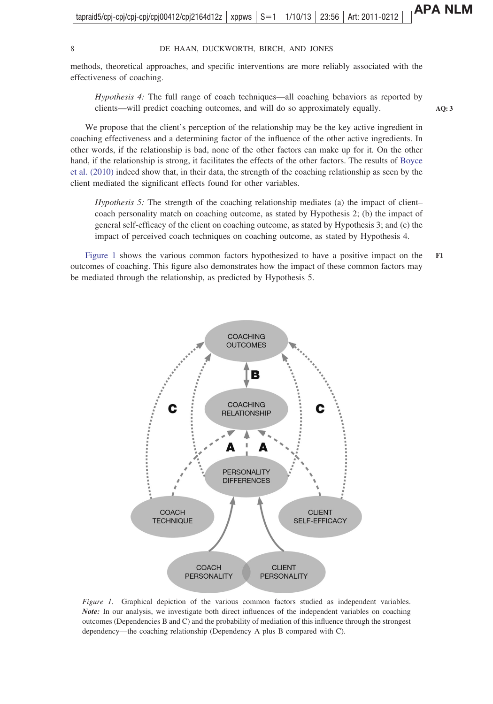methods, theoretical approaches, and specific interventions are more reliably associated with the effectiveness of coaching.

*Hypothesis 4:* The full range of coach techniques—all coaching behaviors as reported by clients—will predict coaching outcomes, and will do so approximately equally.

We propose that the client's perception of the relationship may be the key active ingredient in coaching effectiveness and a determining factor of the influence of the other active ingredients. In other words, if the relationship is bad, none of the other factors can make up for it. On the other hand, if the relationship is strong, it facilitates the effects of the other factors. The results of [Boyce](#page-16-11) [et al. \(2010\)](#page-16-11) indeed show that, in their data, the strength of the coaching relationship as seen by the client mediated the significant effects found for other variables.

*Hypothesis 5:* The strength of the coaching relationship mediates (a) the impact of client– coach personality match on coaching outcome, as stated by Hypothesis 2; (b) the impact of general self-efficacy of the client on coaching outcome, as stated by Hypothesis 3; and (c) the impact of perceived coach techniques on coaching outcome, as stated by Hypothesis 4.

[Figure 1](#page-7-0) shows the various common factors hypothesized to have a positive impact on the outcomes of coaching. This figure also demonstrates how the impact of these common factors may be mediated through the relationship, as predicted by Hypothesis 5. **F1**



<span id="page-7-0"></span>*Figure 1.* Graphical depiction of the various common factors studied as independent variables. *Note:* In our analysis, we investigate both direct influences of the independent variables on coaching outcomes (Dependencies B and C) and the probability of mediation of this influence through the strongest dependency—the coaching relationship (Dependency A plus B compared with C).

**AQ: 3**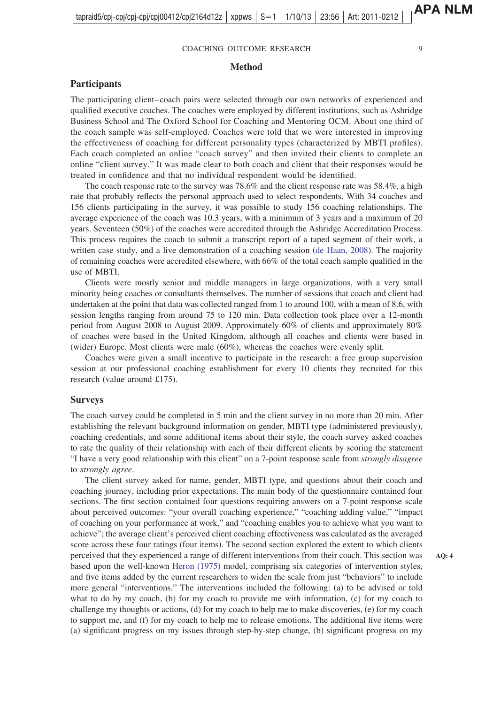## **Method**

### **Participants**

The participating client–coach pairs were selected through our own networks of experienced and qualified executive coaches. The coaches were employed by different institutions, such as Ashridge Business School and The Oxford School for Coaching and Mentoring OCM. About one third of the coach sample was self-employed. Coaches were told that we were interested in improving the effectiveness of coaching for different personality types (characterized by MBTI profiles). Each coach completed an online "coach survey" and then invited their clients to complete an online "client survey." It was made clear to both coach and client that their responses would be treated in confidence and that no individual respondent would be identified.

The coach response rate to the survey was 78.6% and the client response rate was 58.4%, a high rate that probably reflects the personal approach used to select respondents. With 34 coaches and 156 clients participating in the survey, it was possible to study 156 coaching relationships. The average experience of the coach was 10.3 years, with a minimum of 3 years and a maximum of 20 years. Seventeen (50%) of the coaches were accredited through the Ashridge Accreditation Process. This process requires the coach to submit a transcript report of a taped segment of their work, a written case study, and a live demonstration of a coaching session [\(de Haan, 2008\)](#page-16-14). The majority of remaining coaches were accredited elsewhere, with 66% of the total coach sample qualified in the use of MBTI.

Clients were mostly senior and middle managers in large organizations, with a very small minority being coaches or consultants themselves. The number of sessions that coach and client had undertaken at the point that data was collected ranged from 1 to around 100, with a mean of 8.6, with session lengths ranging from around 75 to 120 min. Data collection took place over a 12-month period from August 2008 to August 2009. Approximately 60% of clients and approximately 80% of coaches were based in the United Kingdom, although all coaches and clients were based in (wider) Europe. Most clients were male (60%), whereas the coaches were evenly split.

Coaches were given a small incentive to participate in the research: a free group supervision session at our professional coaching establishment for every 10 clients they recruited for this research (value around £175).

#### **Surveys**

The coach survey could be completed in 5 min and the client survey in no more than 20 min. After establishing the relevant background information on gender, MBTI type (administered previously), coaching credentials, and some additional items about their style, the coach survey asked coaches to rate the quality of their relationship with each of their different clients by scoring the statement "I have a very good relationship with this client" on a 7-point response scale from *strongly disagree* to *strongly agree*.

The client survey asked for name, gender, MBTI type, and questions about their coach and coaching journey, including prior expectations. The main body of the questionnaire contained four sections. The first section contained four questions requiring answers on a 7-point response scale about perceived outcomes: "your overall coaching experience," "coaching adding value," "impact of coaching on your performance at work," and "coaching enables you to achieve what you want to achieve"; the average client's perceived client coaching effectiveness was calculated as the averaged score across these four ratings (four items). The second section explored the extent to which clients perceived that they experienced a range of different interventions from their coach. This section was based upon the well-known [Heron \(1975\)](#page-16-19) model, comprising six categories of intervention styles, and five items added by the current researchers to widen the scale from just "behaviors" to include more general "interventions." The interventions included the following: (a) to be advised or told what to do by my coach, (b) for my coach to provide me with information, (c) for my coach to challenge my thoughts or actions, (d) for my coach to help me to make discoveries, (e) for my coach to support me, and (f) for my coach to help me to release emotions. The additional five items were (a) significant progress on my issues through step-by-step change, (b) significant progress on my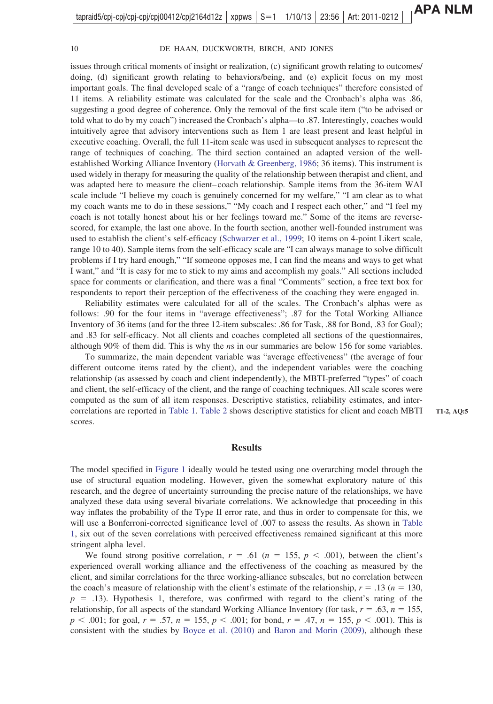issues through critical moments of insight or realization, (c) significant growth relating to outcomes/ doing, (d) significant growth relating to behaviors/being, and (e) explicit focus on my most important goals. The final developed scale of a "range of coach techniques" therefore consisted of 11 items. A reliability estimate was calculated for the scale and the Cronbach's alpha was .86, suggesting a good degree of coherence. Only the removal of the first scale item ("to be advised or told what to do by my coach") increased the Cronbach's alpha—to .87. Interestingly, coaches would intuitively agree that advisory interventions such as Item 1 are least present and least helpful in executive coaching. Overall, the full 11-item scale was used in subsequent analyses to represent the range of techniques of coaching. The third section contained an adapted version of the wellestablished Working Alliance Inventory [\(Horvath & Greenberg, 1986;](#page-16-12) 36 items). This instrument is used widely in therapy for measuring the quality of the relationship between therapist and client, and was adapted here to measure the client–coach relationship. Sample items from the 36-item WAI scale include "I believe my coach is genuinely concerned for my welfare," "I am clear as to what my coach wants me to do in these sessions," "My coach and I respect each other," and "I feel my coach is not totally honest about his or her feelings toward me." Some of the items are reversescored, for example, the last one above. In the fourth section, another well-founded instrument was used to establish the client's self-efficacy [\(Schwarzer et al., 1999;](#page-17-14) 10 items on 4-point Likert scale, range 10 to 40). Sample items from the self-efficacy scale are "I can always manage to solve difficult problems if I try hard enough," "If someone opposes me, I can find the means and ways to get what I want," and "It is easy for me to stick to my aims and accomplish my goals." All sections included space for comments or clarification, and there was a final "Comments" section, a free text box for respondents to report their perception of the effectiveness of the coaching they were engaged in.

Reliability estimates were calculated for all of the scales. The Cronbach's alphas were as follows: .90 for the four items in "average effectiveness"; .87 for the Total Working Alliance Inventory of 36 items (and for the three 12-item subscales: .86 for Task, .88 for Bond, .83 for Goal); and .83 for self-efficacy. Not all clients and coaches completed all sections of the questionnaires, although 90% of them did. This is why the *n*s in our summaries are below 156 for some variables.

To summarize, the main dependent variable was "average effectiveness" (the average of four different outcome items rated by the client), and the independent variables were the coaching relationship (as assessed by coach and client independently), the MBTI-preferred "types" of coach and client, the self-efficacy of the client, and the range of coaching techniques. All scale scores were computed as the sum of all item responses. Descriptive statistics, reliability estimates, and intercorrelations are reported in [Table 1.](#page-10-0) [Table 2](#page-11-0) shows descriptive statistics for client and coach MBTI scores.

**T1-2, AQ:5**

#### **Results**

The model specified in [Figure 1](#page-7-0) ideally would be tested using one overarching model through the use of structural equation modeling. However, given the somewhat exploratory nature of this research, and the degree of uncertainty surrounding the precise nature of the relationships, we have analyzed these data using several bivariate correlations. We acknowledge that proceeding in this way inflates the probability of the Type II error rate, and thus in order to compensate for this, we will use a Bonferroni-corrected significance level of .007 to assess the results. As shown in [Table](#page-10-0) [1,](#page-10-0) six out of the seven correlations with perceived effectiveness remained significant at this more stringent alpha level.

We found strong positive correlation,  $r = .61$  ( $n = 155$ ,  $p < .001$ ), between the client's experienced overall working alliance and the effectiveness of the coaching as measured by the client, and similar correlations for the three working-alliance subscales, but no correlation between the coach's measure of relationship with the client's estimate of the relationship,  $r = .13$  ( $n = 130$ ,  $p = .13$ ). Hypothesis 1, therefore, was confirmed with regard to the client's rating of the relationship, for all aspects of the standard Working Alliance Inventory (for task,  $r = .63$ ,  $n = 155$ ,  $p < .001$ ; for goal,  $r = .57$ ,  $n = 155$ ,  $p < .001$ ; for bond,  $r = .47$ ,  $n = 155$ ,  $p < .001$ ). This is consistent with the studies by [Boyce et al. \(2010\)](#page-16-11) and [Baron and Morin \(2009\),](#page-15-0) although these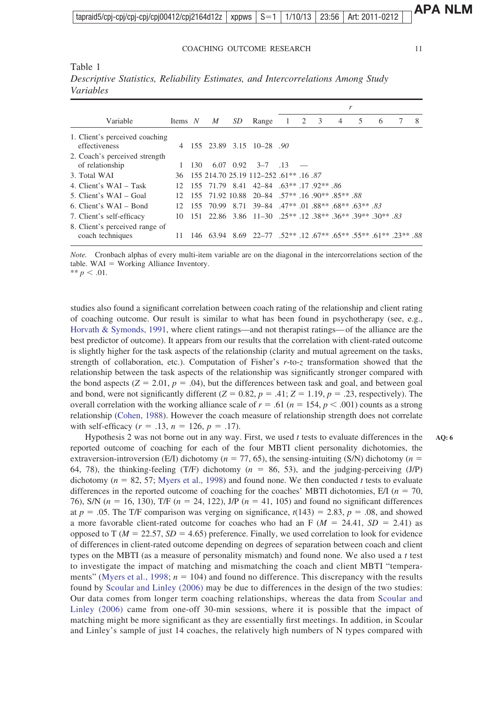$\frac{1}{2}$  tapraid5/cpj-cpj/cpj-cpj/cpj00412/cpj2164d12z xppws  $\frac{1}{2}$  S=1 | 1/10/13 23:56 Art: 2011-0212 | **APA NLM** 

#### COACHING OUTCOME RESEARCH 11

**AQ: 6**

|                                                    |           |     |   |           |                                                            |         |   |                         |   | r |   |   |    |
|----------------------------------------------------|-----------|-----|---|-----------|------------------------------------------------------------|---------|---|-------------------------|---|---|---|---|----|
| Variable                                           | Items $N$ |     | M | SD        | Range                                                      | 1       | 2 | $\overline{\mathbf{3}}$ | 4 | 5 | 6 | 7 | -8 |
| 1. Client's perceived coaching<br>effectiveness    |           |     |   |           | 4 155 23.89 3.15 10 - 28 .90                               |         |   |                         |   |   |   |   |    |
| 2. Coach's perceived strength                      |           |     |   |           |                                                            |         |   |                         |   |   |   |   |    |
| of relationship                                    |           | 130 |   | 6.07 0.92 | $3 - 7$                                                    | $.13 -$ |   |                         |   |   |   |   |    |
| 3. Total WAI                                       |           |     |   |           | 36 155 214.70 25.19 112-252 .61** .16 .87                  |         |   |                         |   |   |   |   |    |
| 4. Client's WAI – Task                             | 12.       |     |   |           | 155 71.79 8.41 42-84 63** 17.92** 86                       |         |   |                         |   |   |   |   |    |
| 5. Client's WAI – Goal                             |           |     |   |           | 12 155 71.92 10.88 20-84 57** 16.90** 85** 88              |         |   |                         |   |   |   |   |    |
| 6. Client's WAI – Bond                             |           |     |   |           | 12 155 70.99 8.71 39-84 .47** 01 .88** .68** .63** .83     |         |   |                         |   |   |   |   |    |
| 7. Client's self-efficacy                          | 10        |     |   |           | 151 22.86 3.86 11-30 .25** .12 .38** .36** .39** .30** .83 |         |   |                         |   |   |   |   |    |
| 8. Client's perceived range of<br>coach techniques | 11        |     |   |           | $146$ 63.94 8.69 22–77 52** 12.67** 65** 55** 61** 23** 88 |         |   |                         |   |   |   |   |    |

*Descriptive Statistics, Reliability Estimates, and Intercorrelations Among Study Variables*

*Note.* Cronbach alphas of every multi-item variable are on the diagonal in the intercorrelations section of the table.  $WAI = Working$  Alliance Inventory.

<span id="page-10-0"></span>Table 1

studies also found a significant correlation between coach rating of the relationship and client rating of coaching outcome. Our result is similar to what has been found in psychotherapy (see, e.g., [Horvath & Symonds, 1991,](#page-16-20) where client ratings—and not therapist ratings—of the alliance are the best predictor of outcome). It appears from our results that the correlation with client-rated outcome is slightly higher for the task aspects of the relationship (clarity and mutual agreement on the tasks, strength of collaboration, etc.). Computation of Fisher's *r*-to-*z* transformation showed that the relationship between the task aspects of the relationship was significantly stronger compared with the bond aspects ( $Z = 2.01$ ,  $p = .04$ ), but the differences between task and goal, and between goal and bond, were not significantly different  $(Z = 0.82, p = .41; Z = 1.19, p = .23$ , respectively). The overall correlation with the working alliance scale of  $r = .61$  ( $n = 154$ ,  $p < .001$ ) counts as a strong relationship [\(Cohen, 1988\)](#page-16-21). However the coach measure of relationship strength does not correlate with self-efficacy  $(r = .13, n = 126, p = .17)$ .

Hypothesis 2 was not borne out in any way. First, we used *t* tests to evaluate differences in the reported outcome of coaching for each of the four MBTI client personality dichotomies, the extraversion-introversion (E/I) dichotomy ( $n = 77, 65$ ), the sensing-intuiting (S/N) dichotomy ( $n =$ 64, 78), the thinking-feeling (T/F) dichotomy  $(n = 86, 53)$ , and the judging-perceiving (J/P) dichotomy ( $n = 82, 57$ ; [Myers et al., 1998\)](#page-16-9) and found none. We then conducted *t* tests to evaluate differences in the reported outcome of coaching for the coaches' MBTI dichotomies,  $E/I$  ( $n = 70$ , 76), S/N ( $n = 16$ , 130), T/F ( $n = 24$ , 122), J/P ( $n = 41$ , 105) and found no significant differences at  $p = .05$ . The T/F comparison was verging on significance,  $t(143) = 2.83$ ,  $p = .08$ , and showed a more favorable client-rated outcome for coaches who had an F ( $M = 24.41$ ,  $SD = 2.41$ ) as opposed to T ( $M = 22.57$ ,  $SD = 4.65$ ) preference. Finally, we used correlation to look for evidence of differences in client-rated outcome depending on degrees of separation between coach and client types on the MBTI (as a measure of personality mismatch) and found none. We also used a *t* test to investigate the impact of matching and mismatching the coach and client MBTI "tempera-ments" [\(Myers et al., 1998;](#page-16-9)  $n = 104$ ) and found no difference. This discrepancy with the results found by [Scoular and Linley \(2006\)](#page-17-12) may be due to differences in the design of the two studies: Our data comes from longer term coaching relationships, whereas the data from [Scoular and](#page-17-12) [Linley \(2006\)](#page-17-12) came from one-off 30-min sessions, where it is possible that the impact of matching might be more significant as they are essentially first meetings. In addition, in Scoular and Linley's sample of just 14 coaches, the relatively high numbers of N types compared with

<sup>\*\*</sup>  $p < .01$ .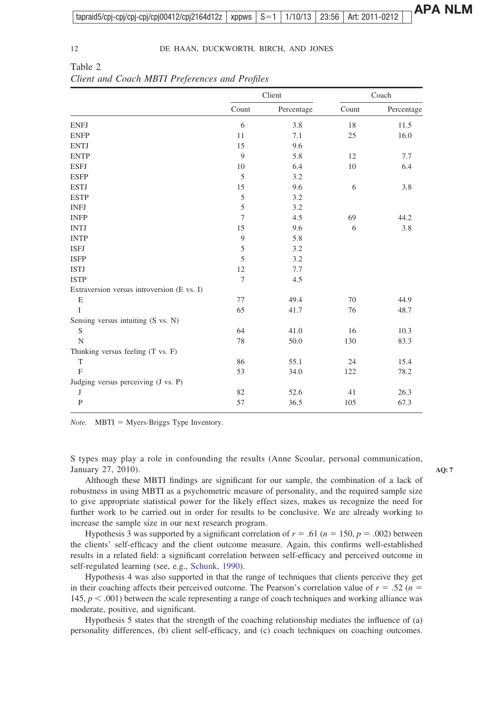tapraid5/cpj-cpj/cpj-cpj/cpj00412/cpj2164d12z xppws S=1 1/10/13 23:56 Art: 2011-0212 **APA NLM** 

12 DE HAAN, DUCKWORTH, BIRCH, AND JONES

|                                            | Client |            | Coach |            |
|--------------------------------------------|--------|------------|-------|------------|
|                                            | Count  | Percentage | Count | Percentage |
| <b>ENFJ</b>                                | 6      | 3.8        | 18    | 11.5       |
| <b>ENFP</b>                                | 11     | 7.1        | 25    | 16.0       |
| <b>ENTJ</b>                                | 15     | 9.6        |       |            |
| <b>ENTP</b>                                | 9      | 5.8        | 12    | 7.7        |
| <b>ESFJ</b>                                | 10     | 6.4        | 10    | 6.4        |
| <b>ESFP</b>                                | 5      | $3.2\,$    |       |            |
| <b>ESTJ</b>                                | 15     | 9.6        | 6     | 3.8        |
| <b>ESTP</b>                                | 5      | 3.2        |       |            |
| <b>INFJ</b>                                | 5      | 3.2        |       |            |
| <b>INFP</b>                                | 7      | 4.5        | 69    | 44.2       |
| <b>INTJ</b>                                | 15     | 9.6        | 6     | 3.8        |
| <b>INTP</b>                                | 9      | 5.8        |       |            |
| <b>ISFJ</b>                                | 5      | 3.2        |       |            |
| <b>ISFP</b>                                | 5      | 3.2        |       |            |
| <b>ISTJ</b>                                | 12     | 7.7        |       |            |
| <b>ISTP</b>                                | 7      | 4.5        |       |            |
| Extraversion versus introversion (E vs. I) |        |            |       |            |
| $\mathbf E$                                | 77     | 49.4       | 70    | 44.9       |
| I                                          | 65     | 41.7       | 76    | 48.7       |
| Sensing versus intuiting (S vs. N)         |        |            |       |            |
| S                                          | 64     | 41.0       | 16    | 10.3       |
| $\mathbf N$                                | 78     | 50.0       | 130   | 83.3       |
| Thinking versus feeling (T vs. F)          |        |            |       |            |
| $\mathbf T$                                | 86     | 55.1       | 24    | 15.4       |
| $\mathbf F$                                | 53     | 34.0       | 122   | 78.2       |
| Judging versus perceiving (J vs. P)        |        |            |       |            |
| $_{\rm J}$                                 | 82     | 52.6       | 41    | 26.3       |
| ${\bf P}$                                  | 57     | 36.5       | 105   | 67.3       |

<span id="page-11-0"></span>

| Table 2 |                                                |  |
|---------|------------------------------------------------|--|
|         | Client and Coach MBTI Preferences and Profiles |  |

*Note.*  $MBTI = Mvers-Briggs Type Inventory.$ 

S types may play a role in confounding the results (Anne Scoular, personal communication, January 27, 2010).

Although these MBTI findings are significant for our sample, the combination of a lack of robustness in using MBTI as a psychometric measure of personality, and the required sample size to give appropriate statistical power for the likely effect sizes, makes us recognize the need for further work to be carried out in order for results to be conclusive. We are already working to increase the sample size in our next research program.

Hypothesis 3 was supported by a significant correlation of  $r = .61$  ( $n = 150$ ,  $p = .002$ ) between the clients' self-efficacy and the client outcome measure. Again, this confirms well-established results in a related field: a significant correlation between self-efficacy and perceived outcome in self-regulated learning (see, e.g., [Schunk, 1990\)](#page-17-16).

Hypothesis 4 was also supported in that the range of techniques that clients perceive they get in their coaching affects their perceived outcome. The Pearson's correlation value of  $r = .52$  ( $n =$  $145$ ,  $p < .001$ ) between the scale representing a range of coach techniques and working alliance was moderate, positive, and significant.

Hypothesis 5 states that the strength of the coaching relationship mediates the influence of (a) personality differences, (b) client self-efficacy, and (c) coach techniques on coaching outcomes.

**AQ: 7**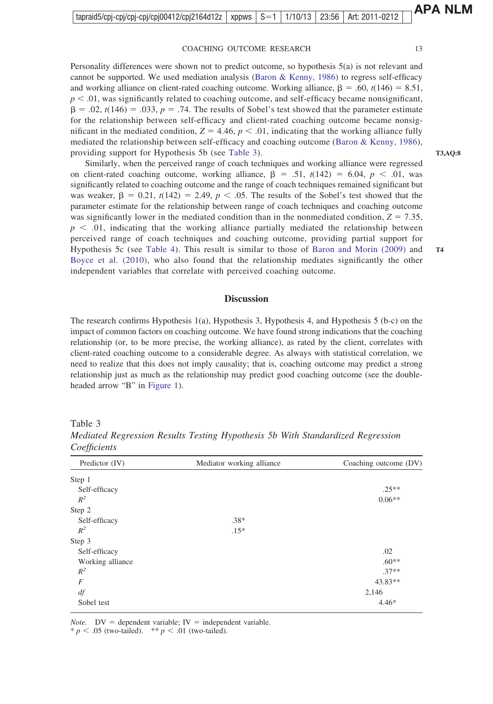Personality differences were shown not to predict outcome, so hypothesis 5(a) is not relevant and cannot be supported. We used mediation analysis [\(Baron & Kenny, 1986\)](#page-15-4) to regress self-efficacy and working alliance on client-rated coaching outcome. Working alliance,  $\beta = .60$ ,  $t(146) = 8.51$ ,  $p < .01$ , was significantly related to coaching outcome, and self-efficacy became nonsignificant,  $\beta = .02$ ,  $t(146) = .033$ ,  $p = .74$ . The results of Sobel's test showed that the parameter estimate for the relationship between self-efficacy and client-rated coaching outcome became nonsignificant in the mediated condition,  $Z = 4.46$ ,  $p < .01$ , indicating that the working alliance fully mediated the relationship between self-efficacy and coaching outcome [\(Baron & Kenny, 1986\)](#page-15-4), providing support for Hypothesis 5b (see [Table 3\)](#page-12-0).

Similarly, when the perceived range of coach techniques and working alliance were regressed on client-rated coaching outcome, working alliance,  $\beta = .51$ ,  $t(142) = 6.04$ ,  $p < .01$ , was significantly related to coaching outcome and the range of coach techniques remained significant but was weaker,  $\beta = 0.21$ ,  $t(142) = 2.49$ ,  $p < .05$ . The results of the Sobel's test showed that the parameter estimate for the relationship between range of coach techniques and coaching outcome was significantly lower in the mediated condition than in the nonmediated condition,  $Z = 7.35$ ,  $p \leq 0.01$ , indicating that the working alliance partially mediated the relationship between perceived range of coach techniques and coaching outcome, providing partial support for Hypothesis 5c (see [Table 4\)](#page-13-0). This result is similar to those of [Baron and Morin \(2009\)](#page-15-0) and [Boyce et al. \(2010\),](#page-16-11) who also found that the relationship mediates significantly the other independent variables that correlate with perceived coaching outcome.

## **Discussion**

The research confirms Hypothesis 1(a), Hypothesis 3, Hypothesis 4, and Hypothesis 5 (b-c) on the impact of common factors on coaching outcome. We have found strong indications that the coaching relationship (or, to be more precise, the working alliance), as rated by the client, correlates with client-rated coaching outcome to a considerable degree. As always with statistical correlation, we need to realize that this does not imply causality; that is, coaching outcome may predict a strong relationship just as much as the relationship may predict good coaching outcome (see the doubleheaded arrow "B" in [Figure 1\)](#page-7-0).

<span id="page-12-0"></span>Table 3

*Mediated Regression Results Testing Hypothesis 5b With Standardized Regression Coefficients*

| Predictor (IV)   | Mediator working alliance | Coaching outcome (DV) |
|------------------|---------------------------|-----------------------|
| Step 1           |                           |                       |
| Self-efficacy    |                           | $.25**$               |
| $R^2$            |                           | $0.06**$              |
| Step 2           |                           |                       |
| Self-efficacy    | $.38*$                    |                       |
| $R^2$            | $.15*$                    |                       |
| Step 3           |                           |                       |
| Self-efficacy    |                           | .02                   |
| Working alliance |                           | $.60**$               |
| $R^2$            |                           | $.37**$               |
| F                |                           | $43.83**$             |
| df               |                           | 2,146                 |
| Sobel test       |                           | $4.46*$               |

*Note.*  $DV =$  dependent variable;  $IV =$  independent variable.

 $* p < .05$  (two-tailed).  $* p < .01$  (two-tailed).

**T3,AQ:8**

**T4**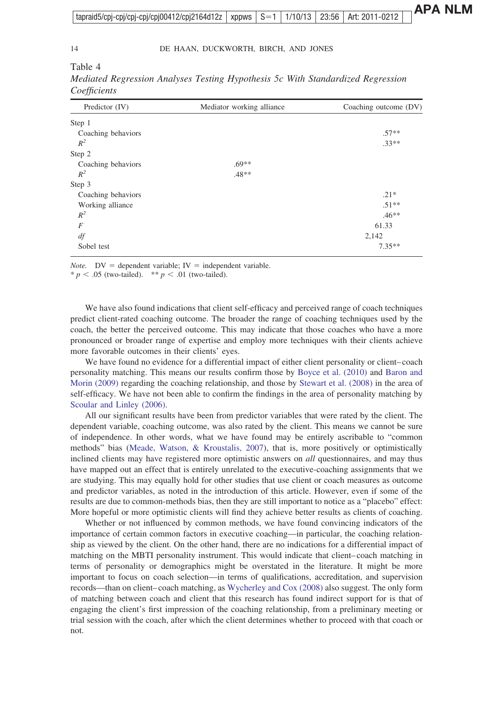<span id="page-13-0"></span>

| Predictor (IV)     | Mediator working alliance | Coaching outcome (DV) |
|--------------------|---------------------------|-----------------------|
| Step 1             |                           |                       |
| Coaching behaviors |                           | $.57**$               |
| $R^2$              |                           | $.33**$               |
| Step 2             |                           |                       |
| Coaching behaviors | $.69**$                   |                       |
| $R^2$              | $.48**$                   |                       |
| Step 3             |                           |                       |
| Coaching behaviors |                           | $.21*$                |
| Working alliance   |                           | $.51***$              |
| $R^2$              |                           | $.46**$               |
| F                  |                           | 61.33                 |
| df                 |                           | 2,142                 |
| Sobel test         |                           | $7.35**$              |

*Mediated Regression Analyses Testing Hypothesis 5c With Standardized Regression Coefficients*

*Note.*  $DV =$  dependent variable;  $IV =$  independent variable.

 $* p < .05$  (two-tailed).  $* p < .01$  (two-tailed).

We have also found indications that client self-efficacy and perceived range of coach techniques predict client-rated coaching outcome. The broader the range of coaching techniques used by the coach, the better the perceived outcome. This may indicate that those coaches who have a more pronounced or broader range of expertise and employ more techniques with their clients achieve more favorable outcomes in their clients' eyes.

We have found no evidence for a differential impact of either client personality or client–coach personality matching. This means our results confirm those by [Boyce et al. \(2010\)](#page-16-11) and [Baron and](#page-15-0) [Morin \(2009\)](#page-15-0) regarding the coaching relationship, and those by [Stewart et al. \(2008\)](#page-17-13) in the area of self-efficacy. We have not been able to confirm the findings in the area of personality matching by [Scoular and Linley \(2006\).](#page-17-12)

All our significant results have been from predictor variables that were rated by the client. The dependent variable, coaching outcome, was also rated by the client. This means we cannot be sure of independence. In other words, what we have found may be entirely ascribable to "common methods" bias [\(Meade, Watson, & Kroustalis, 2007\)](#page-16-22), that is, more positively or optimistically inclined clients may have registered more optimistic answers on *all* questionnaires, and may thus have mapped out an effect that is entirely unrelated to the executive-coaching assignments that we are studying. This may equally hold for other studies that use client or coach measures as outcome and predictor variables, as noted in the introduction of this article. However, even if some of the results are due to common-methods bias, then they are still important to notice as a "placebo" effect: More hopeful or more optimistic clients will find they achieve better results as clients of coaching.

Whether or not influenced by common methods, we have found convincing indicators of the importance of certain common factors in executive coaching—in particular, the coaching relationship as viewed by the client. On the other hand, there are no indications for a differential impact of matching on the MBTI personality instrument. This would indicate that client–coach matching in terms of personality or demographics might be overstated in the literature. It might be more important to focus on coach selection—in terms of qualifications, accreditation, and supervision records—than on client–coach matching, as [Wycherley and Cox \(2008\)](#page-17-17) also suggest. The only form of matching between coach and client that this research has found indirect support for is that of engaging the client's first impression of the coaching relationship, from a preliminary meeting or trial session with the coach, after which the client determines whether to proceed with that coach or not.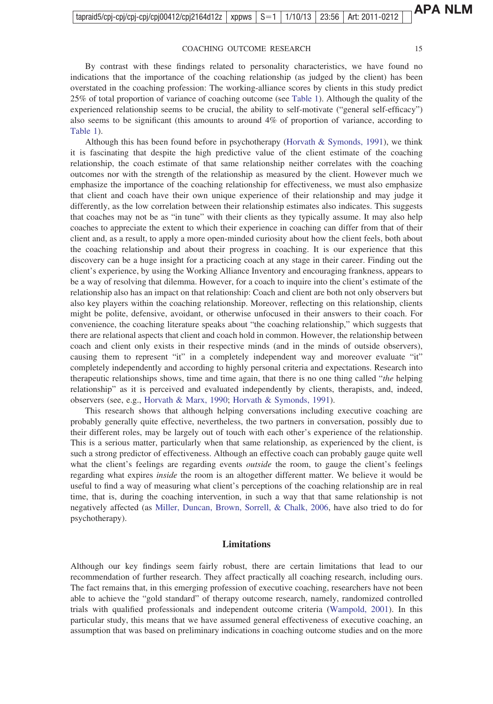By contrast with these findings related to personality characteristics, we have found no indications that the importance of the coaching relationship (as judged by the client) has been overstated in the coaching profession: The working-alliance scores by clients in this study predict 25% of total proportion of variance of coaching outcome (see [Table 1\)](#page-10-0). Although the quality of the experienced relationship seems to be crucial, the ability to self-motivate ("general self-efficacy") also seems to be significant (this amounts to around 4% of proportion of variance, according to [Table 1\)](#page-10-0).

Although this has been found before in psychotherapy (Horvath  $\&$  Symonds, 1991), we think it is fascinating that despite the high predictive value of the client estimate of the coaching relationship, the coach estimate of that same relationship neither correlates with the coaching outcomes nor with the strength of the relationship as measured by the client. However much we emphasize the importance of the coaching relationship for effectiveness, we must also emphasize that client and coach have their own unique experience of their relationship and may judge it differently, as the low correlation between their relationship estimates also indicates. This suggests that coaches may not be as "in tune" with their clients as they typically assume. It may also help coaches to appreciate the extent to which their experience in coaching can differ from that of their client and, as a result, to apply a more open-minded curiosity about how the client feels, both about the coaching relationship and about their progress in coaching. It is our experience that this discovery can be a huge insight for a practicing coach at any stage in their career. Finding out the client's experience, by using the Working Alliance Inventory and encouraging frankness, appears to be a way of resolving that dilemma. However, for a coach to inquire into the client's estimate of the relationship also has an impact on that relationship: Coach and client are both not only observers but also key players within the coaching relationship. Moreover, reflecting on this relationship, clients might be polite, defensive, avoidant, or otherwise unfocused in their answers to their coach. For convenience, the coaching literature speaks about "the coaching relationship," which suggests that there are relational aspects that client and coach hold in common. However, the relationship between coach and client only exists in their respective minds (and in the minds of outside observers), causing them to represent "it" in a completely independent way and moreover evaluate "it" completely independently and according to highly personal criteria and expectations. Research into therapeutic relationships shows, time and time again, that there is no one thing called "*the* helping relationship" as it is perceived and evaluated independently by clients, therapists, and, indeed, observers (see, e.g., [Horvath & Marx, 1990;](#page-16-23) [Horvath & Symonds, 1991\)](#page-16-20).

This research shows that although helping conversations including executive coaching are probably generally quite effective, nevertheless, the two partners in conversation, possibly due to their different roles, may be largely out of touch with each other's experience of the relationship. This is a serious matter, particularly when that same relationship, as experienced by the client, is such a strong predictor of effectiveness. Although an effective coach can probably gauge quite well what the client's feelings are regarding events *outside* the room, to gauge the client's feelings regarding what expires *inside* the room is an altogether different matter. We believe it would be useful to find a way of measuring what client's perceptions of the coaching relationship are in real time, that is, during the coaching intervention, in such a way that that same relationship is not negatively affected (as [Miller, Duncan, Brown, Sorrell, & Chalk, 2006,](#page-16-24) have also tried to do for psychotherapy).

## **Limitations**

Although our key findings seem fairly robust, there are certain limitations that lead to our recommendation of further research. They affect practically all coaching research, including ours. The fact remains that, in this emerging profession of executive coaching, researchers have not been able to achieve the "gold standard" of therapy outcome research, namely, randomized controlled trials with qualified professionals and independent outcome criteria [\(Wampold, 2001\)](#page-17-2). In this particular study, this means that we have assumed general effectiveness of executive coaching, an assumption that was based on preliminary indications in coaching outcome studies and on the more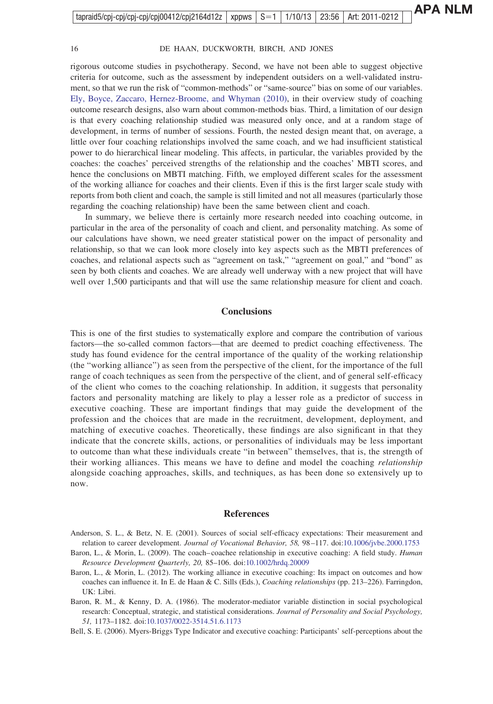rigorous outcome studies in psychotherapy. Second, we have not been able to suggest objective criteria for outcome, such as the assessment by independent outsiders on a well-validated instrument, so that we run the risk of "common-methods" or "same-source" bias on some of our variables. [Ely, Boyce, Zaccaro, Hernez-Broome, and Whyman \(2010\),](#page-16-25) in their overview study of coaching outcome research designs, also warn about common-methods bias. Third, a limitation of our design is that every coaching relationship studied was measured only once, and at a random stage of development, in terms of number of sessions. Fourth, the nested design meant that, on average, a little over four coaching relationships involved the same coach, and we had insufficient statistical power to do hierarchical linear modeling. This affects, in particular, the variables provided by the coaches: the coaches' perceived strengths of the relationship and the coaches' MBTI scores, and hence the conclusions on MBTI matching. Fifth, we employed different scales for the assessment of the working alliance for coaches and their clients. Even if this is the first larger scale study with reports from both client and coach, the sample is still limited and not all measures (particularly those regarding the coaching relationship) have been the same between client and coach.

In summary, we believe there is certainly more research needed into coaching outcome, in particular in the area of the personality of coach and client, and personality matching. As some of our calculations have shown, we need greater statistical power on the impact of personality and relationship, so that we can look more closely into key aspects such as the MBTI preferences of coaches, and relational aspects such as "agreement on task," "agreement on goal," and "bond" as seen by both clients and coaches. We are already well underway with a new project that will have well over 1,500 participants and that will use the same relationship measure for client and coach.

#### **Conclusions**

This is one of the first studies to systematically explore and compare the contribution of various factors—the so-called common factors—that are deemed to predict coaching effectiveness. The study has found evidence for the central importance of the quality of the working relationship (the "working alliance") as seen from the perspective of the client, for the importance of the full range of coach techniques as seen from the perspective of the client, and of general self-efficacy of the client who comes to the coaching relationship. In addition, it suggests that personality factors and personality matching are likely to play a lesser role as a predictor of success in executive coaching. These are important findings that may guide the development of the profession and the choices that are made in the recruitment, development, deployment, and matching of executive coaches. Theoretically, these findings are also significant in that they indicate that the concrete skills, actions, or personalities of individuals may be less important to outcome than what these individuals create "in between" themselves, that is, the strength of their working alliances. This means we have to define and model the coaching *relationship* alongside coaching approaches, skills, and techniques, as has been done so extensively up to now.

#### **References**

<span id="page-15-3"></span>Anderson, S. L., & Betz, N. E. (2001). Sources of social self-efficacy expectations: Their measurement and relation to career development. *Journal of Vocational Behavior, 58,* 98–117. doi[:10.1006/jvbe.2000.1753](http://dx.doi.org/10.1006/jvbe.2000.1753)

<span id="page-15-0"></span>Baron, L., & Morin, L. (2009). The coach–coachee relationship in executive coaching: A field study. *Human Resource Development Quarterly, 20,* 85–106. doi[:10.1002/hrdq.20009](http://dx.doi.org/10.1002/hrdq.20009 )

- <span id="page-15-1"></span>Baron, L., & Morin, L. (2012). The working alliance in executive coaching: Its impact on outcomes and how coaches can influence it. In E. de Haan & C. Sills (Eds.), *Coaching relationships* (pp. 213–226). Farringdon, UK: Libri.
- <span id="page-15-4"></span>Baron, R. M., & Kenny, D. A. (1986). The moderator-mediator variable distinction in social psychological research: Conceptual, strategic, and statistical considerations. *Journal of Personality and Social Psychology, 51,* 1173–1182. doi[:10.1037/0022-3514.51.6.1173](http://dx.doi.org/10.1037/0022-3514.51.6.1173 )

<span id="page-15-2"></span>Bell, S. E. (2006). Myers-Briggs Type Indicator and executive coaching: Participants' self-perceptions about the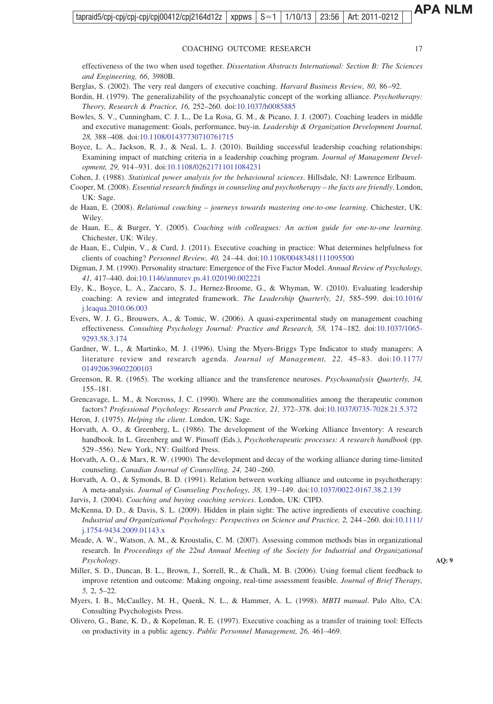<span id="page-16-2"></span>effectiveness of the two when used together. *Dissertation Abstracts International: Section B: The Sciences and Engineering, 66,* 3980B.

- <span id="page-16-0"></span>Berglas, S. (2002). The very real dangers of executive coaching. *Harvard Business Review, 80,* 86–92.
- <span id="page-16-18"></span>Bordin, H. (1979). The generalizability of the psychoanalytic concept of the working alliance. *Psychotherapy: Theory, Research & Practice, 16,* 252–260. doi[:10.1037/h0085885](http://dx.doi.org/10.1037/h0085885)
- <span id="page-16-7"></span>Bowles, S. V., Cunningham, C. J. L., De La Rosa, G. M., & Picano, J. J. (2007). Coaching leaders in middle and executive management: Goals, performance, buy-in. *Leadership & Organization Development Journal, 28,* 388–408. doi[:10.1108/01437730710761715](http://dx.doi.org/10.1108/01437730710761715 )
- <span id="page-16-11"></span>Boyce, L. A., Jackson, R. J., & Neal, L. J. (2010). Building successful leadership coaching relationships: Examining impact of matching criteria in a leadership coaching program. *Journal of Management Development, 29,* 914–931. doi[:10.1108/02621711011084231](http://dx.doi.org/10.1108/02621711011084231)
- <span id="page-16-21"></span>Cohen, J. (1988). *Statistical power analysis for the behavioural sciences*. Hillsdale, NJ: Lawrence Erlbaum.
- <span id="page-16-4"></span>Cooper, M. (2008). *Essential research findings in counseling and psychotherapy – the facts are friendly*. London, UK: Sage.
- <span id="page-16-14"></span>de Haan, E. (2008). *Relational coaching – journeys towards mastering one-to-one learning*. Chichester, UK: Wiley.
- <span id="page-16-3"></span>de Haan, E., & Burger, Y. (2005). *Coaching with colleagues: An action guide for one-to-one learning*. Chichester, UK: Wiley.
- <span id="page-16-13"></span>de Haan, E., Culpin, V., & Curd, J. (2011). Executive coaching in practice: What determines helpfulness for clients of coaching? *Personnel Review, 40,* 24–44. doi[:10.1108/00483481111095500](http://dx.doi.org/10.1108/00483481111095500 )
- <span id="page-16-10"></span>Digman, J. M. (1990). Personality structure: Emergence of the Five Factor Model. *Annual Review of Psychology, 41,* 417–440. doi[:10.1146/annurev.ps.41.020190.002221](http://dx.doi.org/10.1146/annurev.ps.41.020190.002221)
- <span id="page-16-25"></span>Ely, K., Boyce, L. A., Zaccaro, S. J., Hernez-Broome, G., & Whyman, W. (2010). Evaluating leadership coaching: A review and integrated framework. *The Leadership Quarterly, 21,* 585–599. doi[:10.1016/](http://dx.doi.org/10.1016/j.leaqua.2010.06.003 ) [j.leaqua.2010.06.003](http://dx.doi.org/10.1016/j.leaqua.2010.06.003 )
- <span id="page-16-8"></span>Evers, W. J. G., Brouwers, A., & Tomic, W. (2006). A quasi-experimental study on management coaching effectiveness. *Consulting Psychology Journal: Practice and Research, 58,* 174–182. doi[:10.1037/1065-](http://dx.doi.org/10.1037/1065-9293.58.3.174) [9293.58.3.174](http://dx.doi.org/10.1037/1065-9293.58.3.174)
- <span id="page-16-16"></span>Gardner, W. L., & Martinko, M. J. (1996). Using the Myers-Briggs Type Indicator to study managers: A literature review and research agenda. *Journal of Management, 22,* 45–83. doi[:10.1177/](http://dx.doi.org/10.1177/014920639602200103 ) [014920639602200103](http://dx.doi.org/10.1177/014920639602200103 )
- <span id="page-16-17"></span>Greenson, R. R. (1965). The working alliance and the transference neuroses. *Psychoanalysis Quarterly, 34,* 155–181.
- <span id="page-16-15"></span>Grencavage, L. M., & Norcross, J. C. (1990). Where are the commonalities among the therapeutic common factors? *Professional Psychology: Research and Practice, 21,* 372–378. doi[:10.1037/0735-7028.21.5.372](http://dx.doi.org/10.1037/0735-7028.21.5.372)
- <span id="page-16-19"></span><span id="page-16-12"></span>Heron, J. (1975). *Helping the client*. London, UK: Sage.
- Horvath, A. O., & Greenberg, L. (1986). The development of the Working Alliance Inventory: A research handbook. In L. Greenberg and W. Pinsoff (Eds.), *Psychotherapeutic processes: A research handbook* (pp. 529–556). New York, NY: Guilford Press.
- <span id="page-16-23"></span>Horvath, A. O., & Marx, R. W. (1990). The development and decay of the working alliance during time-limited counseling. *Canadian Journal of Counselling, 24,* 240–260.
- <span id="page-16-20"></span>Horvath, A. O., & Symonds, B. D. (1991). Relation between working alliance and outcome in psychotherapy: A meta-analysis. *Journal of Counseling Psychology, 38,* 139–149. doi[:10.1037/0022-0167.38.2.139](http://dx.doi.org/10.1037/0022-0167.38.2.139)
- <span id="page-16-5"></span><span id="page-16-1"></span>Jarvis, J. (2004). *Coaching and buying coaching services*. London, UK: CIPD.
- McKenna, D. D., & Davis, S. L. (2009). Hidden in plain sight: The active ingredients of executive coaching. *Industrial and Organizational Psychology: Perspectives on Science and Practice, 2,* 244–260. doi[:10.1111/](http://dx.doi.org/10.1111/j.1754-9434.2009.01143.x) [j.1754-9434.2009.01143.x](http://dx.doi.org/10.1111/j.1754-9434.2009.01143.x)
- <span id="page-16-22"></span>Meade, A. W., Watson, A. M., & Kroustalis, C. M. (2007). Assessing common methods bias in organizational research. In *Proceedings of the 22nd Annual Meeting of the Society for Industrial and Organizational Psychology*.
- **AQ: 9**
- <span id="page-16-24"></span>Miller, S. D., Duncan, B. L., Brown, J., Sorrell, R., & Chalk, M. B. (2006). Using formal client feedback to improve retention and outcome: Making ongoing, real-time assessment feasible. *Journal of Brief Therapy, 5,* 2, 5–22.
- <span id="page-16-9"></span>Myers, I. B., McCaulley, M. H., Quenk, N. L., & Hammer, A. L. (1998). *MBTI manual*. Palo Alto, CA: Consulting Psychologists Press.
- <span id="page-16-6"></span>Olivero, G., Bane, K. D., & Kopelman, R. E. (1997). Executive coaching as a transfer of training tool: Effects on productivity in a public agency. *Public Personnel Management, 26,* 461–469.